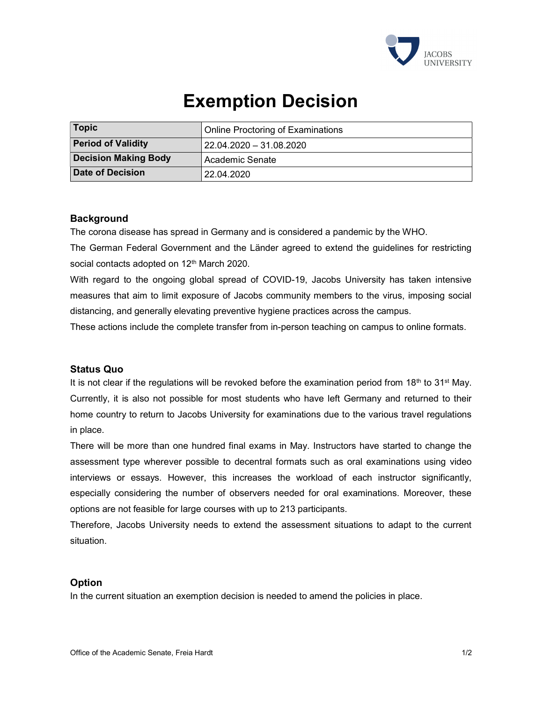

# Exemption Decision

| Topic                       | Online Proctoring of Examinations |
|-----------------------------|-----------------------------------|
| <b>Period of Validity</b>   | 22.04.2020 - 31.08.2020           |
| <b>Decision Making Body</b> | Academic Senate                   |
| Date of Decision            | 22.04.2020                        |

## **Background**

The corona disease has spread in Germany and is considered a pandemic by the WHO.

The German Federal Government and the Länder agreed to extend the guidelines for restricting social contacts adopted on 12<sup>th</sup> March 2020.

With regard to the ongoing global spread of COVID-19, Jacobs University has taken intensive measures that aim to limit exposure of Jacobs community members to the virus, imposing social distancing, and generally elevating preventive hygiene practices across the campus.

These actions include the complete transfer from in-person teaching on campus to online formats.

#### Status Quo

It is not clear if the regulations will be revoked before the examination period from  $18<sup>th</sup>$  to  $31<sup>st</sup>$  May. Currently, it is also not possible for most students who have left Germany and returned to their home country to return to Jacobs University for examinations due to the various travel regulations in place.

There will be more than one hundred final exams in May. Instructors have started to change the assessment type wherever possible to decentral formats such as oral examinations using video interviews or essays. However, this increases the workload of each instructor significantly, especially considering the number of observers needed for oral examinations. Moreover, these options are not feasible for large courses with up to 213 participants.

Therefore, Jacobs University needs to extend the assessment situations to adapt to the current situation.

## **Option**

In the current situation an exemption decision is needed to amend the policies in place.